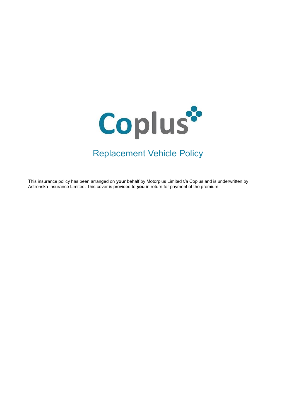

# Replacement Vehicle Policy

This insurance policy has been arranged on **your** behalf by Motorplus Limited t/a Coplus and is underwritten by Astrenska Insurance Limited. This cover is provided to **you** in return for payment of the premium.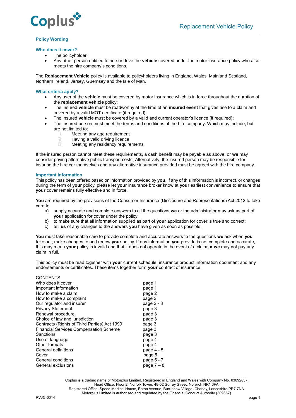

## **Policy Wording**

## **Who does it cover?**

- The policyholder;
- Any other person entitled to ride or drive the **vehicle** covered under the motor insurance policy who also meets the hire company's conditions.

The **Replacement Vehicle** policy is available to policyholders living in England, Wales, Mainland Scotland, Northern Ireland, Jersey, Guernsey and the Isle of Man.

## **What criteria apply?**

- Any user of the **vehicle** must be covered by motor insurance which is in force throughout the duration of the **replacement vehicle** policy;
- The insured **vehicle** must be roadworthy at the time of an **insured event** that gives rise to a claim and covered by a valid MOT certificate (if required);
- The insured **vehicle** must be covered by a valid and current operator's licence (if required);
- The insured person must meet the terms and conditions of the hire company. Which may include, but are not limited to:
	- i. Meeting any age requirement
	- ii. Having a valid driving licence<br>iii. Meeting any residency require
	- Meeting any residency requirements

If the insured person cannot meet these requirements, a cash benefit may be payable as above, or **we** may consider paying alternative public transport costs. Alternatively, the insured person may be responsible for insuring the hire car themselves and any alternative insurance provided must be agreed with the hire company.

## **Important information**

This policy has been offered based on information provided by **you**. If any of this information is incorrect, or changes during the term of **your** policy, please let **your** insurance broker know at **your** earliest convenience to ensure that **your** cover remains fully effective and in force.

**You** are required by the provisions of the Consumer Insurance (Disclosure and Representations) Act 2012 to take care to:

- a) supply accurate and complete answers to all the questions **we** or the administrator may ask as part of **your** application for cover under the policy:
- b) to make sure that all information supplied as part of **your** application for cover is true and correct;
- c) tell **us** of any changes to the answers **you** have given as soon as possible.

**You** must take reasonable care to provide complete and accurate answers to the questions **we** ask when **you** take out, make changes to and renew **your** policy. If any information **you** provide is not complete and accurate, this may mean **your** policy is invalid and that it does not operate in the event of a claim or **we** may not pay any claim in full.

This policy must be read together with **your** current schedule, insurance product information document and any endorsements or certificates. These items together form **your** contract of insurance.

| <b>CONTENTS</b>                               |              |
|-----------------------------------------------|--------------|
| Who does it cover                             | page 1       |
| Important information                         | page 1       |
| How to make a claim                           | page 2       |
| How to make a complaint                       | page 2       |
| Our regulator and insurer                     | page 2 - 3   |
| <b>Privacy Statement</b>                      | page 3       |
| Renewal procedure                             | page 3       |
| Choice of law and jurisdiction                | page 3       |
| Contracts (Rights of Third Parties) Act 1999  | page 3       |
| <b>Financial Services Compensation Scheme</b> | page 3       |
| Sanctions                                     | page 3       |
| Use of language                               | page 4       |
| Other formats                                 | page 4       |
| General definitions                           | page 4 - 5   |
| Cover                                         | page 5       |
| General conditions                            | page 5 - 7   |
| General exclusions                            | page $7 - 8$ |

Coplus is a trading name of Motorplus Limited. Registered in England and Wales with Company No. 03092837. Head Office: Floor 2, Norfolk Tower, 48-52 Surrey Street, Norwich NR1 3PA. Registered Office: Speed Medical House, Eaton Avenue, Buckshaw Village, Chorley, Lancashire PR7 7NA. Motorplus Limited is authorised and regulated by the Financial Conduct Authority (309657). RVJC-0014 page 1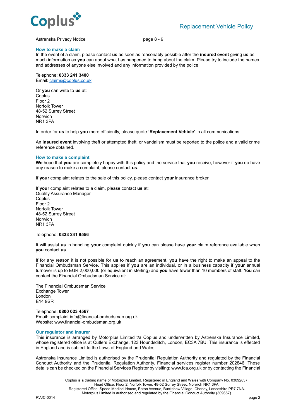

## Astrenska Privacy Notice page 8 - 9

#### **How to make a claim**

In the event of a claim, please contact **us** as soon as reasonably possible after the **insured event** giving **us** as much information as **you** can about what has happened to bring about the claim. Please try to include the names and addresses of anyone else involved and any information provided by the police.

Telephone: **0333 241 3400** Email[: claims@coplus.co.uk](mailto:claims@coplus.co.uk)

Or **you** can write to **us** at: Coplus Floor 2 Norfolk Tower 48-52 Surrey Street Norwich NR1 3PA

In order for **us** to help **you** more efficiently, please quote **'Replacement Vehicle'** in all communications.

An **insured event** involving theft or attempted theft, or vandalism must be reported to the police and a valid crime reference obtained.

#### **How to make a complaint**

**We** hope that **you** are completely happy with this policy and the service that **you** receive, however if **you** do have any reason to make a complaint, please contact **us**.

If **your** complaint relates to the sale of this policy, please contact **your** insurance broker.

If **your** complaint relates to a claim, please contact **us** at: Quality Assurance Manager **Coplus** Floor 2 Norfolk Tower 48-52 Surrey Street Norwich NR1 3PA

Telephone: **0333 241 9556**

It will assist **us** in handling **your** complaint quickly if **you** can please have **your** claim reference available when **you** contact **us**.

If for any reason it is not possible for **us** to reach an agreement, **you** have the right to make an appeal to the Financial Ombudsman Service. This applies if **you** are an individual, or in a business capacity if **your** annual turnover is up to EUR 2,000,000 (or equivalent in sterling) and **you** have fewer than 10 members of staff. **You** can contact the Financial Ombudsman Service at:

The Financial Ombudsman Service Exchange Tower London E14 9SR

Telephone: **0800 023 4567** Email[: complaint.info@financial-ombudsman.org.uk](mailto:complaint.info@financial-ombudsman.org.uk) Website: [www.financial-ombudsman.org.uk](http://www.financial-ombudsman.org.uk/)

#### **Our regulator and insurer**

This insurance is arranged by Motorplus Limited t/a Coplus and underwritten by Astrenska Insurance Limited, whose registered office is at Cutlers Exchange, 123 Houndsditch, London, EC3A 7BU. This insurance is effected in England and is subject to the Laws of England and Wales.

Astrenska Insurance Limited is authorised by the Prudential Regulation Authority and regulated by the Financial Conduct Authority and the Prudential Regulation Authority. Financial services register number 202846. These details can be checked on the Financial Services Register by visiting: www.fca.org.uk or by contacting the Financial

Coplus is a trading name of Motorplus Limited. Registered in England and Wales with Company No. 03092837. Head Office: Floor 2, Norfolk Tower, 48-52 Surrey Street, Norwich NR1 3PA. Registered Office: Speed Medical House, Eaton Avenue, Buckshaw Village, Chorley, Lancashire PR7 7NA. Motorplus Limited is authorised and regulated by the Financial Conduct Authority (309657). RVJC-0014 page 2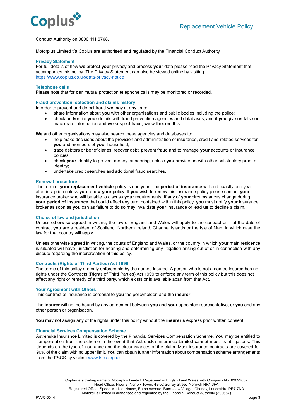

## Conduct Authority on 0800 111 6768.

Motorplus Limited t/a Coplus are authorised and regulated by the Financial Conduct Authority

## **Privacy Statement**

For full details of how **we** protect **your** privacy and process **your** data please read the Privacy Statement that accompanies this policy. The Privacy Statement can also be viewed online by visiting [https://www.coplus.co.uk/data-privacy-notice](https://www.coplus.co.uk/data-privacy-notice/)

## **Telephone calls**

Please note that for **our** mutual protection telephone calls may be monitored or recorded.

## **Fraud prevention, detection and claims history**

In order to prevent and detect fraud **we** may at any time:

- share information about **you** with other organisations and public bodies including the police;
- check and/or file **your** details with fraud prevention agencies and databases, and if **you** give **us** false or inaccurate information and **we** suspect fraud, **we** will record this.

**We** and other organisations may also search these agencies and databases to:

- help make decisions about the provision and administration of insurance, credit and related services for **you** and members of **your** household;
- trace debtors or beneficiaries, recover debt, prevent fraud and to manage **your** accounts or insurance policies;
- check **your** identity to prevent money laundering, unless **you** provide **us** with other satisfactory proof of identity;
- undertake credit searches and additional fraud searches.

#### **Renewal procedure**

The term of **your replacement vehicle** policy is one year. The **period of insurance** will end exactly one year after inception unless **you** renew **your** policy. If **you** wish to renew this insurance policy please contact **your**  insurance broker who will be able to discuss **your** requirements. If any of **your** circumstances change during **your period of insurance** that could affect any term contained within this policy, **you** must notify **your** insurance broker as soon as **you** can as failure to do so may invalidate **your** insurance or lead **us** to decline a claim.

#### **Choice of law and jurisdiction**

Unless otherwise agreed in writing, the law of England and Wales will apply to the contract or if at the date of contract **you** are a resident of Scotland, Northern Ireland, Channel Islands or the Isle of Man, in which case the law for that country will apply.

Unless otherwise agreed in writing, the courts of England and Wales, or the country in which **your** main residence is situated will have jurisdiction for hearing and determining any litigation arising out of or in connection with any dispute regarding the interpretation of this policy.

## **Contracts (Rights of Third Parties) Act 1999**

The terms of this policy are only enforceable by the named insured. A person who is not a named insured has no rights under the Contracts (Rights of Third Parties) Act 1999 to enforce any term of this policy but this does not affect any right or remedy of a third party, which exists or is available apart from that Act.

#### **Your Agreement with Others**

This contract of insurance is personal to **you** the policyholder, and the **insurer**.

The **insurer** will not be bound by any agreement between **you** and **your** appointed representative, or **you** and any other person or organisation.

**You** may not assign any of the rights under this policy without the **insurer's** express prior written consent.

## **Financial Services Compensation Scheme**

Astrenska Insurance Limited is covered by the Financial Services Compensation Scheme. **You** may be entitled to compensation from the scheme in the event that Astrenska Insurance Limited cannot meet its obligations. This depends on the type of insurance and the circumstances of the claim. Most insurance contracts are covered for 90% of the claim with no upper limit. **You** can obtain further information about compensation scheme arrangements from the FSCS by visiting [www.fscs.org.uk.](http://www.fscs.org.uk/)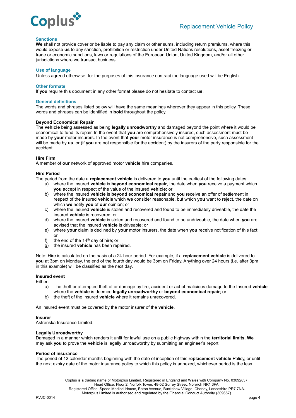

## **Sanctions**

**We** shall not provide cover or be liable to pay any claim or other sums, including return premiums, where this would expose **us** to any sanction, prohibition or restriction under United Nations resolutions, asset freezing or trade or economic sanctions, laws or regulations of the European Union, United Kingdom, and/or all other jurisdictions where we transact business.

#### **Use of language**

Unless agreed otherwise, for the purposes of this insurance contract the language used will be English.

#### **Other formats**

If **you** require this document in any other format please do not hesitate to contact **us**.

## **General definitions**

The words and phrases listed below will have the same meanings wherever they appear in this policy. These words and phrases can be identified in **bold** throughout the policy.

## **Beyond Economical Repair**

The **vehicle** being assessed as being **legally unroadworthy** and damaged beyond the point where it would be economical to fund its repair. In the event that **you** are comprehensively insured, such assessment must be made by **your** motor insurers. In the event that **your** motor insurance is not comprehensive, such assessment will be made by **us**, or (if **you** are not responsible for the accident) by the insurers of the party responsible for the accident.

## **Hire Firm**

A member of **our** network of approved motor **vehicle** hire companies.

## **Hire Period**

The period from the date a **replacement vehicle** is delivered to **you** until the earliest of the following dates:

- a) where the insured **vehicle** is **beyond economical repair**, the date when **you** receive a payment which **you** accept in respect of the value of the insured **vehicle**; or
- b) where the insured **vehicle** is **beyond economical repair** and **you** receive an offer of settlement in respect of the insured **vehicle** which **we** consider reasonable, but which **you** want to reject, the date on which **we** notify **you** of **our** opinion; or
- c) where the insured **vehicle** is stolen and recovered and found to be immediately driveable, the date the insured **vehicle** is recovered; or
- d) where the insured **vehicle** is stolen and recovered and found to be undriveable, the date when **you** are advised that the insured **vehicle** is driveable; or
- e) where **your** claim is declined by **your** motor insurers, the date when **you** receive notification of this fact; or
- f) the end of the  $14<sup>th</sup>$  day of hire; or
- g) the insured **vehicle** has been repaired.

Note: Hire is calculated on the basis of a 24 hour period. For example, if a **replacement vehicle** is delivered to **you** at 3pm on Monday, the end of the fourth day would be 3pm on Friday. Anything over 24 hours (i.e. after 3pm in this example) will be classified as the next day.

## **Insured event**

Either:

- a) The theft or attempted theft of or damage by fire, accident or act of malicious damage to the Insured **vehicle** where the **vehicle** is deemed **legally unroadworthy** or **beyond economical repair**; or
- b) the theft of the insured **vehicle** where it remains unrecovered.

An insured event must be covered by the motor insurer of the **vehicle**.

## **Insurer**

Astrenska Insurance Limited.

## **Legally Unroadworthy**

Damaged in a manner which renders it unfit for lawful use on a public highway within the **territorial limits**. **We**  may ask **you** to prove the **vehicle** is legally unroadworthy by submitting an engineer's report.

## **Period of insurance**

The period of 12 calendar months beginning with the date of inception of this **replacement vehicle** Policy, or until the next expiry date of the motor insurance policy to which this policy is annexed, whichever period is the less.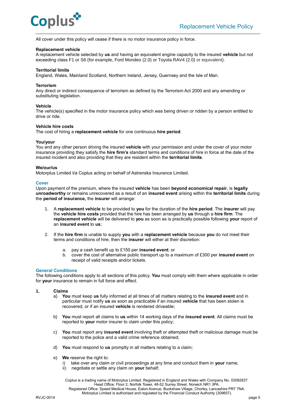

All cover under this policy will cease if there is no motor insurance policy in force.

## **Replacement vehicle**

A replacement vehicle selected by **us** and having an equivalent engine capacity to the insured **vehicle** but not exceeding class F1 or S6 (for example, Ford Mondeo (2.0) or Toyota RAV4 (2.0) or equivalent).

## **Territorial limits**

England, Wales, Mainland Scotland, Northern Ireland, Jersey, Guernsey and the Isle of Man.

## **Terrorism**

Any direct or indirect consequence of terrorism as defined by the Terrorism Act 2000 and any amending or substituting legislation.

## **Vehicle**

The vehicle(s) specified in the motor insurance policy which was being driven or ridden by a person entitled to drive or ride.

## **Vehicle hire costs**

The cost of hiring a **replacement vehicle** for one continuous **hire period**.

## **You/your**

You and any other person driving the insured **vehicle** with your permission and under the cover of your motor insurance providing they satisfy the **hire firm's** standard terms and conditions of hire in force at the date of the insured incident and also providing that they are resident within the **territorial limits**.

#### **We/our/us**

Motorplus Limited t/a Coplus acting on behalf of Astrenska Insurance Limited.

## **Cover**

Upon payment of the premium, where the insured **vehicle** has been **beyond economical repair**, is **legally unroadworthy** or remains unrecovered as a result of an **insured event** arising within the **territorial limits** during the **period of insurance,** the **insurer** will arrange:

- 1. A **replacement vehicle** to be provided to **you** for the duration of the **hire period**. The **insurer** will pay the **vehicle hire costs** provided that the hire has been arranged by **us** through a **hire firm**. The **replacement vehicle** will be delivered to **you** as soon as is practically possible following **your** report of an **insured event** to **us**;
- 2. If the **hire firm** is unable to supply **you** with a **replacement vehicle** because **you** do not meet their terms and conditions of hire, then the **insurer** will either at their discretion:
	- a. pay a cash benefit up to £150 per **insured event**; or
	- b. cover the cost of alternative public transport up to a maximum of £300 per **insured event** on receipt of valid receipts and/or tickets.

#### **General Conditions**

The following conditions apply to all sections of this policy. **You** must comply with them where applicable in order for **your** insurance to remain in full force and effect.

- **1. Claims**
	- a) **You** must keep **us** fully informed at all times of all matters relating to the **insured event** and in particular must notify **us** as soon as practicable if an insured **vehicle** that has been stolen is recovered, or if an insured **vehicle** is rendered driveable;
	- b) **You** must report all claims to **us** within 14 working days of the **insured event**. All claims must be reported to **your** motor insurer to claim under this policy;
	- c) **You** must report any **insured event** involving theft or attempted theft or malicious damage must be reported to the police and a valid crime reference obtained;
	- d) **You** must respond to **us** promptly in all matters relating to a claim;
	- e) **We** reserve the right to:
		- i) take over any claim or civil proceedings at any time and conduct them in **your** name;
		- ii) negotiate or settle any claim on **your** behalf;

Coplus is a trading name of Motorplus Limited. Registered in England and Wales with Company No. 03092837. Head Office: Floor 2, Norfolk Tower, 48-52 Surrey Street, Norwich NR1 3PA. Registered Office: Speed Medical House, Eaton Avenue, Buckshaw Village, Chorley, Lancashire PR7 7NA. Motorplus Limited is authorised and regulated by the Financial Conduct Authority (309657).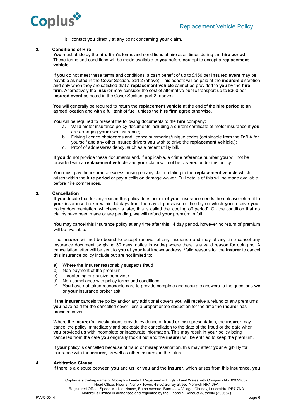

iii) contact **you** directly at any point concerning **your** claim.

## **2. Conditions of Hire**

**You** must abide by the **hire firm's** terms and conditions of hire at all times during the **hire period**. These terms and conditions will be made available to **you** before **you** opt to accept a **replacement vehicle**.

If **you** do not meet these terms and conditions, a cash benefit of up to £150 per **insured event** may be payable as noted in the Cover Section, part 2 (above). This benefit will be paid at the **insurers** discretion and only when they are satisfied that a **replacement vehicle** cannot be provided to **you** by the **hire firm**. Alternatively the **insurer** may consider the cost of alternative public transport up to £300 per **insured event** as noted in the Cover Section, part 2 (above).

**You** will generally be required to return the **replacement vehicle** at the end of the **hire period** to an agreed location and with a full tank of fuel, unless the **hire firm** agree otherwise.

**You** will be required to present the following documents to the **hire** company:

- a. Valid motor insurance policy documents including a current certificate of motor insurance if **you**  are arranging **your** own insurance;
- b. Driving licence photocards and licence summaries/unique codes (obtainable from the DVLA for yourself and any other insured drivers **you** wish to drive the **replacement vehicle**.);
- c. Proof of address/residency, such as a recent utility bill.

If **you** do not provide these documents and, if applicable, a crime reference number **you** will not be provided with a **replacement vehicle** and **your** claim will not be covered under this policy.

**You** must pay the insurance excess arising on any claim relating to the **replacement vehicle** which arises within the **hire period** or pay a collision damage waiver. Full details of this will be made available before hire commences.

## **3. Cancellation**

If **you** decide that for any reason this policy does not meet **your** insurance needs then please return it to **your** insurance broker within 14 days from the day of purchase or the day on which **you** receive **your** policy documentation, whichever is later, this is called the 'cooling off period'. On the condition that no claims have been made or are pending, **we** will refund **your** premium in full.

You may cancel this insurance policy at any time after this 14 day period, however no return of premium will be available.

The **insurer** will not be bound to accept renewal of any insurance and may at any time cancel any insurance document by giving 30 days' notice in writing where there is a valid reason for doing so. A cancellation letter will be sent to **you** at **your** last known address. Valid reasons for the **insurer** to cancel this insurance policy include but are not limited to:

- a) Where the **insurer** reasonably suspects fraud
- b) Non-payment of the premium
- c) Threatening or abusive behaviour
- d) Non-compliance with policy terms and conditions<br>e) You have not taken reasonable care to provide co
- e) **You** have not taken reasonable care to provide complete and accurate answers to the questions **we** or **your** insurance broker ask.

If the **insurer** cancels the policy and/or any additional covers **you** will receive a refund of any premiums **you** have paid for the cancelled cover, less a proportionate deduction for the time the **insurer** has provided cover.

Where the **insurer's** investigations provide evidence of fraud or misrepresentation, the **insurer** may cancel the policy immediately and backdate the cancellation to the date of the fraud or the date when **you** provided **us** with incomplete or inaccurate information. This may result in **your** policy being cancelled from the date **you** originally took it out and the **insurer** will be entitled to keep the premium.

If **your** policy is cancelled because of fraud or misrepresentation, this may affect **your** eligibility for insurance with the **insurer**, as well as other insurers, in the future.

## **4. Arbitration Clause**

If there is a dispute between **you** and **us**, or **you** and the **insurer**, which arises from this insurance, **you**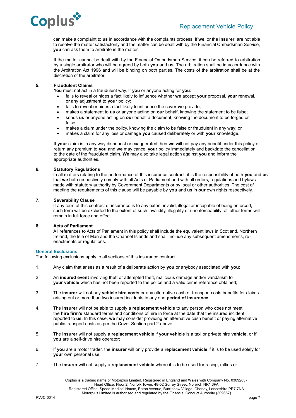

can make a complaint to **us** in accordance with the complaints process. If **we**, or the **insurer**, are not able to resolve the matter satisfactorily and the matter can be dealt with by the Financial Ombudsman Service, **you** can ask them to arbitrate in the matter.

If the matter cannot be dealt with by the Financial Ombudsman Service, it can be referred to arbitration by a single arbitrator who will be agreed by both **you** and **us**. The arbitration shall be in accordance with the Arbitration Act 1996 and will be binding on both parties. The costs of the arbitration shall be at the discretion of the arbitrator.

## **5. Fraudulent Claims**

**You** must not act in a fraudulent way. If **you** or anyone acting for **you**:

- fails to reveal or hides a fact likely to influence whether **we** accept **your** proposal, **your** renewal, or any adjustment to **your** policy;
- fails to reveal or hides a fact likely to influence the cover **we** provide;
- makes a statement to **us** or anyone acting on **our** behalf, knowing the statement to be false;
- sends **us** or anyone acting on **our** behalf a document, knowing the document to be forged or false;
- makes a claim under the policy, knowing the claim to be false or fraudulent in any way; or
- makes a claim for any loss or damage **you** caused deliberately or with **your** knowledge.

If **your** claim is in any way dishonest or exaggerated then **we** will not pay any benefit under this policy or return any premium to **you** and **we** may cancel **your** policy immediately and backdate the cancellation to the date of the fraudulent claim. **We** may also take legal action against **you** and inform the appropriate authorities.

## **6. Statutory Regulations**

In all matters relating to the performance of this insurance contract, it is the responsibility of both **you** and **us** that **we** both respectively comply with all Acts of Parliament and with all orders, regulations and bylaws made with statutory authority by Government Departments or by local or other authorities. The cost of meeting the requirements of this clause will be payable by **you** and **us** in **our** own rights respectively.

## **7. Severability Clause**

If any term of this contract of insurance is to any extent invalid, illegal or incapable of being enforced, such term will be excluded to the extent of such invalidity, illegality or unenforceability; all other terms will remain in full force and effect.

## **8. Acts of Parliament**

All references to Acts of Parliament in this policy shall include the equivalent laws in Scotland, Northern Ireland, the Isle of Man and the Channel Islands and shall include any subsequent amendments, reenactments or regulations.

## **General Exclusions**

The following exclusions apply to all sections of this insurance contract:

- 1. Any claim that arises as a result of a deliberate action by **you** or anybody associated with **you**;
- 2. An **insured event** involving theft or attempted theft, malicious damage and/or vandalism to **your vehicle** which has not been reported to the police and a valid crime reference obtained;
- 3. The i**nsurer** will not pay **vehicle hire costs** or any alternative cash or transport costs benefits for claims arising out or more than two insured incidents in any one **period of insurance**;
- 4. The **insurer** will not be able to supply a **replacement vehicle** to any person who does not meet the **hire firm's** standard terms and conditions of hire in force at the date that the insured incident reported to **us**. In this case, **we** may consider providing an alternative cash benefit or paying alternative public transport costs as per the Cover Section part 2 above;
- 5.The **insurer** will not supply a **replacement vehicle** if **your vehicle** is a taxi or private hire **vehicle**, or if **you** are a self-drive hire operator;
- 6. If **you** are a motor trader, the **insurer** will only provide a **replacement vehicle** if it is to be used solely for **your** own personal use;
- 7. The **insurer** will not supply a **replacement vehicle** where it is to be used for racing, rallies or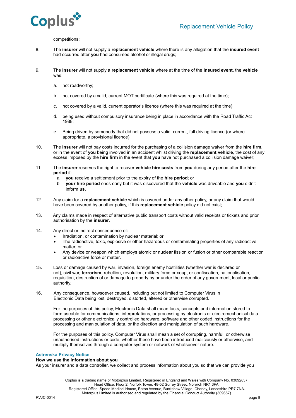



competitions;

- 8. The **insurer** will not supply a **replacement vehicle** where there is any allegation that the **insured event** had occurred after **you** had consumed alcohol or illegal drugs;
- 9. The **insurer** will not supply a **replacement vehicle** where at the time of the **insured event**, the **vehicle** was:
	- a. not roadworthy;
	- b. not covered by a valid, current MOT certificate (where this was required at the time);
	- c. not covered by a valid, current operator's licence (where this was required at the time);
	- d. being used without compulsory insurance being in place in accordance with the Road Traffic Act 1988;
	- e. Being driven by somebody that did not possess a valid, current, full driving licence (or where appropriate, a provisional licence);
- 10. The **insurer** will not pay costs incurred for the purchasing of a collision damage waiver from the **hire firm**, or in the event of **you** being involved in an accident whilst driving the **replacement vehicle**, the cost of any excess imposed by the **hire firm** in the event that **you** have not purchased a collision damage waiver;
- 11. The **insurer** reserves the right to recover **vehicle hire costs** from **you** during any period after the **hire period** if:
	- a. **you** receive a settlement prior to the expiry of the **hire period**; or
	- b. **your hire period** ends early but it was discovered that the **vehicle** was driveable and **you** didn't inform **us**.
- 12. Any claim for a **replacement vehicle** which is covered under any other policy, or any claim that would have been covered by another policy, if this **replacement vehicle** policy did not exist;
- 13. Any claims made in respect of alternative public transport costs without valid receipts or tickets and prior authorisation by the **insurer**.
- 14. Any direct or indirect consequence of:
	- Irradiation, or contamination by nuclear material; or
	- The radioactive, toxic, explosive or other hazardous or contaminating properties of any radioactive matter; or
	- Any device or weapon which employs atomic or nuclear fission or fusion or other comparable reaction or radioactive force or matter.
- 15. Loss or damage caused by war, invasion, foreign enemy hostilities (whether war is declared or not), civil war, **terrorism**, rebellion, revolution, military force or coup, or confiscation, nationalisation, requisition, destruction of or damage to property by or under the order of any government, local or public authority.
- 16. Any consequence, howsoever caused, including but not limited to Computer Virus in Electronic Data being lost, destroyed, distorted, altered or otherwise corrupted.

For the purposes of this policy, Electronic Data shall mean facts, concepts and information stored to form useable for communications, interpretations, or processing by electronic or electromechanical data processing or other electronically controlled hardware, software and other coded instructions for the processing and manipulation of data, or the direction and manipulation of such hardware.

For the purposes of this policy, Computer Virus shall mean a set of corrupting, harmful, or otherwise unauthorised instructions or code, whether these have been introduced maliciously or otherwise, and multiply themselves through a computer system or network of whatsoever nature.

## **Astrenska Privacy Notice**

## **How we use the information about you**

As your insurer and a data controller, we collect and process information about you so that we can provide you